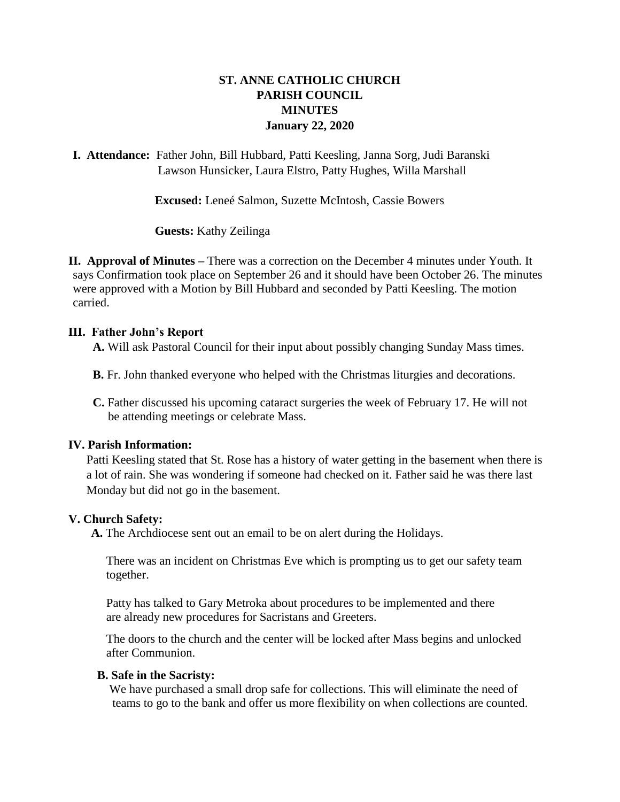# **ST. ANNE CATHOLIC CHURCH PARISH COUNCIL MINUTES January 22, 2020**

**I. Attendance:** Father John, Bill Hubbard, Patti Keesling, Janna Sorg, Judi Baranski Lawson Hunsicker, Laura Elstro, Patty Hughes, Willa Marshall

**Excused:** Leneé Salmon, Suzette McIntosh, Cassie Bowers

**Guests:** Kathy Zeilinga

**II. Approval of Minutes –** There was a correction on the December 4 minutes under Youth. It says Confirmation took place on September 26 and it should have been October 26. The minutes were approved with a Motion by Bill Hubbard and seconded by Patti Keesling. The motion carried.

#### **III. Father John's Report**

 **A.** Will ask Pastoral Council for their input about possibly changing Sunday Mass times.

**B.** Fr. John thanked everyone who helped with the Christmas liturgies and decorations.

 **C.** Father discussed his upcoming cataract surgeries the week of February 17. He will not be attending meetings or celebrate Mass.

#### **IV. Parish Information:**

Patti Keesling stated that St. Rose has a history of water getting in the basement when there is a lot of rain. She was wondering if someone had checked on it. Father said he was there last Monday but did not go in the basement.

#### **V. Church Safety:**

**A.** The Archdiocese sent out an email to be on alert during the Holidays.

 There was an incident on Christmas Eve which is prompting us to get our safety team together.

 Patty has talked to Gary Metroka about procedures to be implemented and there are already new procedures for Sacristans and Greeters.

 The doors to the church and the center will be locked after Mass begins and unlocked after Communion.

#### **B. Safe in the Sacristy:**

 We have purchased a small drop safe for collections. This will eliminate the need of teams to go to the bank and offer us more flexibility on when collections are counted.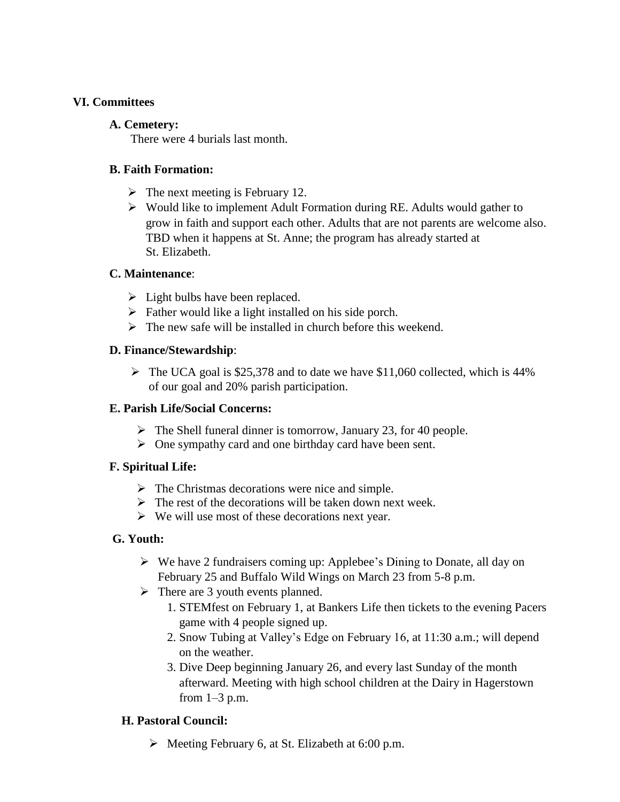#### **VI. Committees**

#### **A. Cemetery:**

There were 4 burials last month.

## **B. Faith Formation:**

- $\triangleright$  The next meeting is February 12.
- $\triangleright$  Would like to implement Adult Formation during RE. Adults would gather to grow in faith and support each other. Adults that are not parents are welcome also. TBD when it happens at St. Anne; the program has already started at St. Elizabeth.

### **C. Maintenance**:

- $\triangleright$  Light bulbs have been replaced.
- $\triangleright$  Father would like a light installed on his side porch.
- $\triangleright$  The new safe will be installed in church before this weekend.

### **D. Finance/Stewardship**:

 $\triangleright$  The UCA goal is \$25,378 and to date we have \$11,060 collected, which is 44% of our goal and 20% parish participation.

## **E. Parish Life/Social Concerns:**

- $\triangleright$  The Shell funeral dinner is tomorrow, January 23, for 40 people.
- $\triangleright$  One sympathy card and one birthday card have been sent.

# **F. Spiritual Life:**

- $\triangleright$  The Christmas decorations were nice and simple.
- $\triangleright$  The rest of the decorations will be taken down next week.
- $\triangleright$  We will use most of these decorations next year.

# **G. Youth:**

- $\triangleright$  We have 2 fundraisers coming up: Applebee's Dining to Donate, all day on February 25 and Buffalo Wild Wings on March 23 from 5-8 p.m.
- $\triangleright$  There are 3 youth events planned.
	- 1. STEMfest on February 1, at Bankers Life then tickets to the evening Pacers game with 4 people signed up.
	- 2. Snow Tubing at Valley's Edge on February 16, at 11:30 a.m.; will depend on the weather.
	- 3. Dive Deep beginning January 26, and every last Sunday of the month afterward. Meeting with high school children at the Dairy in Hagerstown from  $1-3$  p.m.

# **H. Pastoral Council:**

 $\triangleright$  Meeting February 6, at St. Elizabeth at 6:00 p.m.